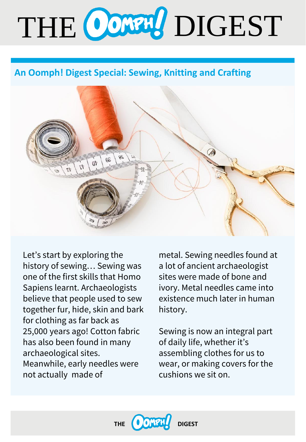# THE CONTRO DIGEST

# **An Oomph! Digest Special: Sewing, Knitting and Crafting**



Let's start by exploring the history of sewing… Sewing was one of the first skills that Homo Sapiens learnt. Archaeologists believe that people used to sew together fur, hide, skin and bark for clothing as far back as 25,000 years ago! Cotton fabric has also been found in many archaeological sites. Meanwhile, early needles were not actually made of

metal. Sewing needles found at a lot of ancient archaeologist sites were made of bone and ivory. Metal needles came into existence much later in human history.

Sewing is now an integral part of daily life, whether it's assembling clothes for us to wear, or making covers for the cushions we sit on.

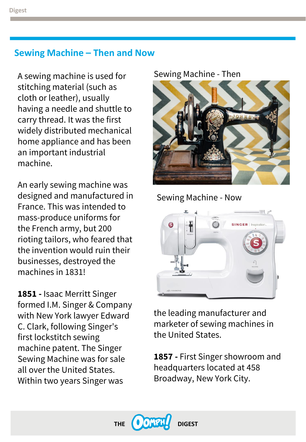#### **Sewing Machine – Then and Now**

A sewing machine is used for stitching material (such as cloth or leather), usually having a needle and shuttle to carry thread. It was the first widely distributed mechanical home appliance and has been an important industrial machine.

An early sewing machine was designed and manufactured in France. This was intended to mass-produce uniforms for the French army, but 200 rioting tailors, who feared that the invention would ruin their businesses, destroyed the machines in 1831!

**1851 -** Isaac Merritt Singer formed I.M. Singer & Company with New York lawyer Edward C. Clark, following Singer's first lockstitch sewing machine patent. The Singer Sewing Machine was for sale all over the United States. Within two years Singer was

#### Sewing Machine - Then



Sewing Machine - Now



the leading manufacturer and marketer of sewing machines in the United States.

**1857 -** First Singer showroom and headquarters located at 458 Broadway, New York City.

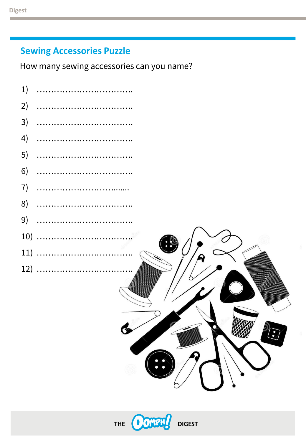#### **Sewing Accessories Puzzle**

How many sewing accessories can you name?



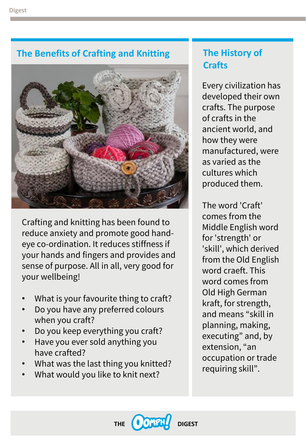# **The Benefits of Crafting and Knitting**



Crafting and knitting has been found to reduce anxiety and promote good handeye co-ordination. It reduces stiffness if your hands and fingers and provides and sense of purpose. All in all, very good for your wellbeing!

- What is your favourite thing to craft?
- Do you have any preferred colours when you craft?
- Do you keep everything you craft?
- Have you ever sold anything you have crafted?
- What was the last thing you knitted?
- What would you like to knit next?

# **The History of Crafts**

Every civilization has developed their own crafts. The purpose of crafts in the ancient world, and how they were manufactured, were as varied as the cultures which produced them.

The word 'Craft' comes from the Middle English word for 'strength' or 'skill', which derived from the Old English word craeft. This word comes from Old High German kraft, for strength, and means "skill in planning, making, executing" and, by extension, "an occupation or trade requiring skill".

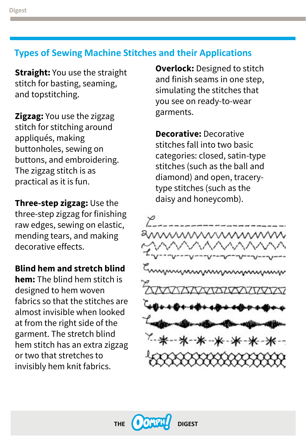#### **Types of Sewing Machine Stitches and their Applications**

**Straight:** You use the straight stitch for basting, seaming, and topstitching.

**Zigzag:** You use the zigzag stitch for stitching around appliqués, making buttonholes, sewing on buttons, and embroidering. The zigzag stitch is as practical as it is fun.

**Three-step zigzag:** Use the three-step zigzag for finishing raw edges, sewing on elastic, mending tears, and making decorative effects.

**Blind hem and stretch blind** 

**hem:** The blind hem stitch is designed to hem woven fabrics so that the stitches are almost invisible when looked at from the right side of the garment. The stretch blind hem stitch has an extra zigzag or two that stretches to invisibly hem knit fabrics.

**Overlock:** Designed to stitch and finish seams in one step, simulating the stitches that you see on ready-to-wear garments.

**Decorative:** Decorative stitches fall into two basic categories: closed, satin-type stitches (such as the ball and diamond) and open, tracerytype stitches (such as the daisy and honeycomb).



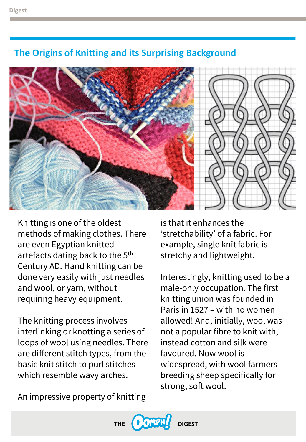### **The Origins of Knitting and its Surprising Background**



Knitting is one of the oldest methods of making clothes. There are even Egyptian knitted artefacts dating back to the 5<sup>th</sup> Century AD. Hand knitting can be done very easily with just needles and wool, or yarn, without requiring heavy equipment.

The knitting process involves interlinking or knotting a series of loops of wool using needles. There are different stitch types, from the basic knit stitch to purl stitches which resemble wavy arches.

An impressive property of knitting

is that it enhances the 'stretchability' of a fabric. For example, single knit fabric is stretchy and lightweight.

Interestingly, knitting used to be a male-only occupation. The first knitting union was founded in Paris in 1527 – with no women allowed! And, initially, wool was not a popular fibre to knit with, instead cotton and silk were favoured. Now wool is widespread, with wool farmers breeding sheep specifically for strong, soft wool.